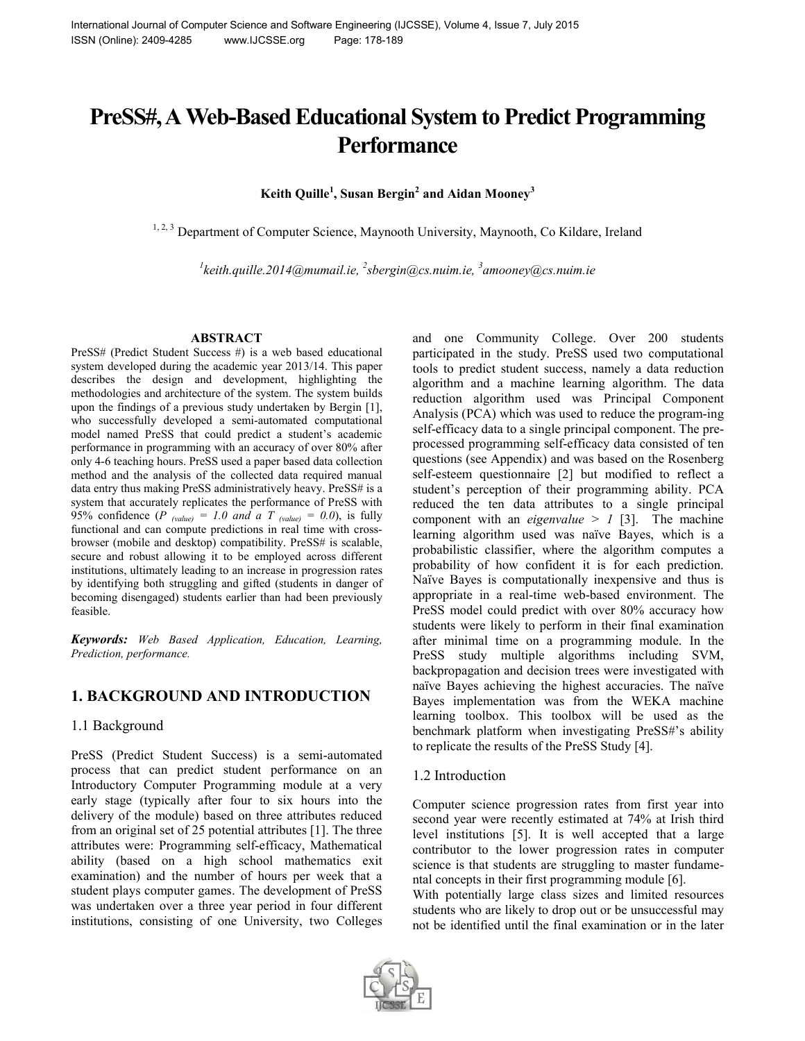# **PreSS#, AWeb-Based Educational System to Predict Programming Performance**

**Keith Quille<sup>1</sup> , Susan Bergin<sup>2</sup> and Aidan Mooney<sup>3</sup>**

<sup>1, 2, 3</sup> Department of Computer Science, Maynooth University, Maynooth, Co Kildare, Ireland

*1 keith.quille.2014@mumail.ie, <sup>2</sup> sbergin@cs.nuim.ie, <sup>3</sup> amooney@cs.nuim.ie*

#### **ABSTRACT**

PreSS# (Predict Student Success #) is a web based educational system developed during the academic year 2013/14. This paper describes the design and development, highlighting the methodologies and architecture of the system. The system builds upon the findings of a previous study undertaken by Bergin [1], who successfully developed a semi-automated computational model named PreSS that could predict a student's academic performance in programming with an accuracy of over 80% after only 4-6 teaching hours. PreSS used a paper based data collection method and the analysis of the collected data required manual data entry thus making PreSS administratively heavy. PreSS# is a system that accurately replicates the performance of PreSS with 95% confidence  $(P_{\text{value}}) = 1.0$  and a T  $_{\text{value}} = 0.0$ , is fully functional and can compute predictions in real time with crossbrowser (mobile and desktop) compatibility. PreSS# is scalable, secure and robust allowing it to be employed across different institutions, ultimately leading to an increase in progression rates by identifying both struggling and gifted (students in danger of becoming disengaged) students earlier than had been previously feasible.

*Keywords: Web Based Application, Education, Learning, Prediction, performance.*

# **1. BACKGROUND AND INTRODUCTION**

## 1.1 Background

PreSS (Predict Student Success) is a semi-automated process that can predict student performance on an Introductory Computer Programming module at a very early stage (typically after four to six hours into the delivery of the module) based on three attributes reduced from an original set of 25 potential attributes [1]. The three attributes were: Programming self-efficacy, Mathematical ability (based on a high school mathematics exit examination) and the number of hours per week that a student plays computer games. The development of PreSS was undertaken over a three year period in four different institutions, consisting of one University, two Colleges

and one Community College. Over 200 students participated in the study. PreSS used two computational tools to predict student success, namely a data reduction algorithm and a machine learning algorithm. The data reduction algorithm used was Principal Component Analysis (PCA) which was used to reduce the program-ing self-efficacy data to a single principal component. The preprocessed programming self-efficacy data consisted of ten questions (see Appendix) and was based on the Rosenberg self-esteem questionnaire [2] but modified to reflect a student's perception of their programming ability. PCA reduced the ten data attributes to a single principal component with an *eigenvalue*  $> 1$  [3]. The machine learning algorithm used was naïve Bayes, which is a probabilistic classifier, where the algorithm computes a probability of how confident it is for each prediction. Naïve Bayes is computationally inexpensive and thus is appropriate in a real-time web-based environment. The PreSS model could predict with over 80% accuracy how students were likely to perform in their final examination after minimal time on a programming module. In the PreSS study multiple algorithms including SVM, backpropagation and decision trees were investigated with naïve Bayes achieving the highest accuracies. The naïve Bayes implementation was from the WEKA machine learning toolbox. This toolbox will be used as the benchmark platform when investigating PreSS#'s ability to replicate the results of the PreSS Study [4].

## 1.2 Introduction

Computer science progression rates from first year into second year were recently estimated at 74% at Irish third level institutions [5]. It is well accepted that a large contributor to the lower progression rates in computer science is that students are struggling to master fundamental concepts in their first programming module [6].

With potentially large class sizes and limited resources students who are likely to drop out or be unsuccessful may not be identified until the final examination or in the later

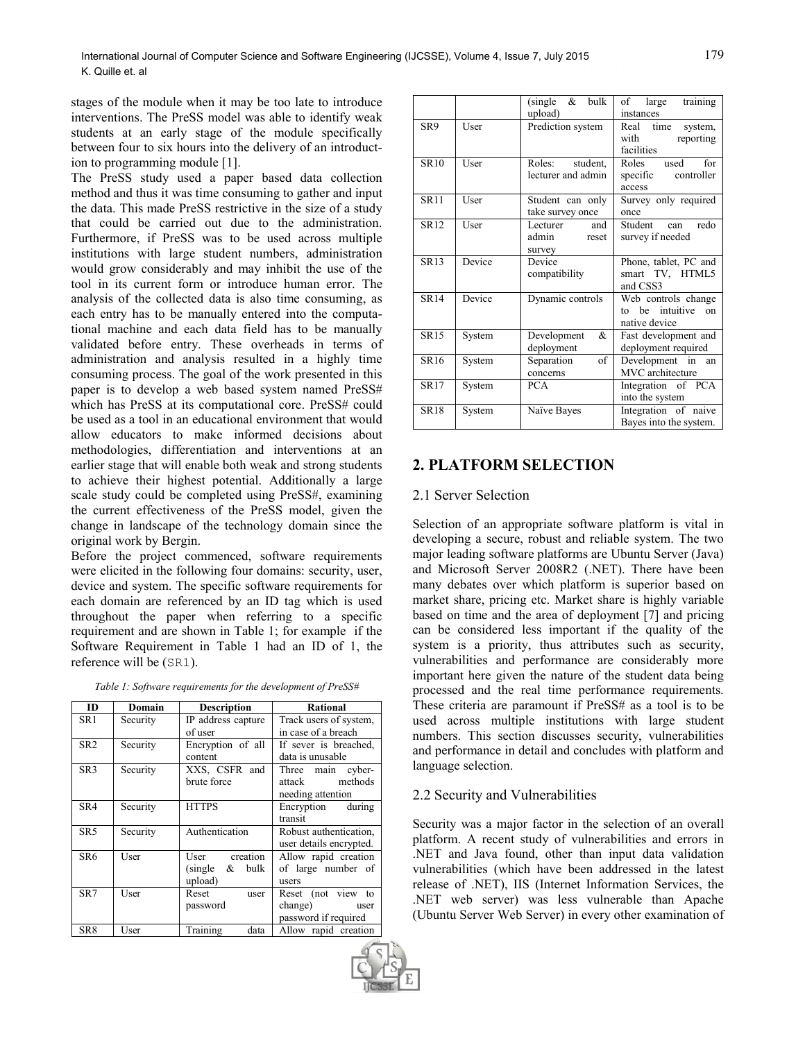stages of the module when it may be too late to introduce interventions. The PreSS model was able to identify weak students at an early stage of the module specifically between four to six hours into the delivery of an introduction to programming module [1].

The PreSS study used a paper based data collection method and thus it was time consuming to gather and input the data. This made PreSS restrictive in the size of a study that could be carried out due to the administration. Furthermore, if PreSS was to be used across multiple institutions with large student numbers, administration would grow considerably and may inhibit the use of the tool in its current form or introduce human error. The analysis of the collected data is also time consuming, as each entry has to be manually entered into the computational machine and each data field has to be manually validated before entry. These overheads in terms of administration and analysis resulted in a highly time consuming process. The goal of the work presented in this paper is to develop a web based system named PreSS# which has PreSS at its computational core. PreSS# could be used as a tool in an educational environment that would allow educators to make informed decisions about methodologies, differentiation and interventions at an earlier stage that will enable both weak and strong students to achieve their highest potential. Additionally a large scale study could be completed using PreSS#, examining the current effectiveness of the PreSS model, given the change in landscape of the technology domain since the original work by Bergin.

Before the project commenced, software requirements were elicited in the following four domains: security, user, device and system. The specific software requirements for each domain are referenced by an ID tag which is used throughout the paper when referring to a specific requirement and are shown in Table 1; for example if the Software Requirement in Table 1 had an ID of 1, the reference will be (SR1).

| Table 1: Software requirements for the development of PreSS# |  |  |  |  |
|--------------------------------------------------------------|--|--|--|--|
|--------------------------------------------------------------|--|--|--|--|

| <b>ID</b>       | Domain   | <b>Description</b>   | <b>Rational</b>         |
|-----------------|----------|----------------------|-------------------------|
| SR <sub>1</sub> | Security | IP address capture   | Track users of system,  |
|                 |          | of user              | in case of a breach     |
| SR <sub>2</sub> | Security | Encryption of all    | If sever is breached,   |
|                 |          | content              | data is unusable        |
| SR <sub>3</sub> | Security | XXS, CSFR and        | Three main cyber-       |
|                 |          | brute force          | attack methods          |
|                 |          |                      | needing attention       |
| SR4             | Security | <b>HTTPS</b>         | Encryption during       |
|                 |          |                      | transit                 |
| SR <sub>5</sub> | Security | Authentication       | Robust authentication.  |
|                 |          |                      | user details encrypted. |
| SR <sub>6</sub> | User     | User creation        | Allow rapid creation    |
|                 |          | $(single \&$<br>bulk | of large number of      |
|                 |          | upload)              | users                   |
| SR7             | User     | Reset<br>user        | Reset (not view to      |
|                 |          | password             | change)<br>user         |
|                 |          |                      | password if required    |
| SR8             | User     | Training<br>data     | Allow rapid creation    |
|                 |          |                      |                         |

|                          |        | $(single \&)$<br>bulk<br>upload)         | training<br>of large<br>instances                             |
|--------------------------|--------|------------------------------------------|---------------------------------------------------------------|
| SR9                      | User   | Prediction system                        | Real time<br>system,<br>with<br>reporting<br>facilities       |
| <b>SR10</b>              | User   | Roles: student,<br>lecturer and admin    | Roles used for<br>controller<br>specific<br>access            |
| <b>SR11</b>              | User   | Student can only<br>take survey once     | Survey only required<br>once                                  |
| $\overline{\text{SR12}}$ | User   | and<br>Lecturer<br>admin reset<br>survey | redo<br>Student can<br>survey if needed                       |
| <b>SR13</b>              | Device | Device<br>compatibility                  | Phone, tablet, PC and<br>smart TV, HTML5<br>and CSS3          |
| <b>SR14</b>              | Device | Dynamic controls                         | Web controls change<br>to be intuitive<br>on<br>native device |
| <b>SR15</b>              | System | &<br>Development<br>deployment           | Fast development and<br>deployment required                   |
| <b>SR16</b>              | System | of<br>Separation<br>concerns             | Development in<br>an<br>MVC architecture                      |
| <b>SR17</b>              | System | <b>PCA</b>                               | Integration of PCA<br>into the system                         |
| <b>SR18</b>              | System | Naïve Bayes                              | Integration of naive<br>Bayes into the system.                |

# **2. PLATFORM SELECTION**

#### 2.1 Server Selection

Selection of an appropriate software platform is vital in developing a secure, robust and reliable system. The two major leading software platforms are Ubuntu Server (Java) and Microsoft Server 2008R2 (.NET). There have been many debates over which platform is superior based on market share, pricing etc. Market share is highly variable based on time and the area of deployment [7] and pricing can be considered less important if the quality of the system is a priority, thus attributes such as security, vulnerabilities and performance are considerably more important here given the nature of the student data being processed and the real time performance requirements. These criteria are paramount if PreSS# as a tool is to be used across multiple institutions with large student numbers. This section discusses security, vulnerabilities and performance in detail and concludes with platform and language selection.

## 2.2 Security and Vulnerabilities

Security was a major factor in the selection of an overall platform. A recent study of vulnerabilities and errors in .NET and Java found, other than input data validation vulnerabilities (which have been addressed in the latest release of .NET), IIS (Internet Information Services, the .NET web server) was less vulnerable than Apache (Ubuntu Server Web Server) in every other examination of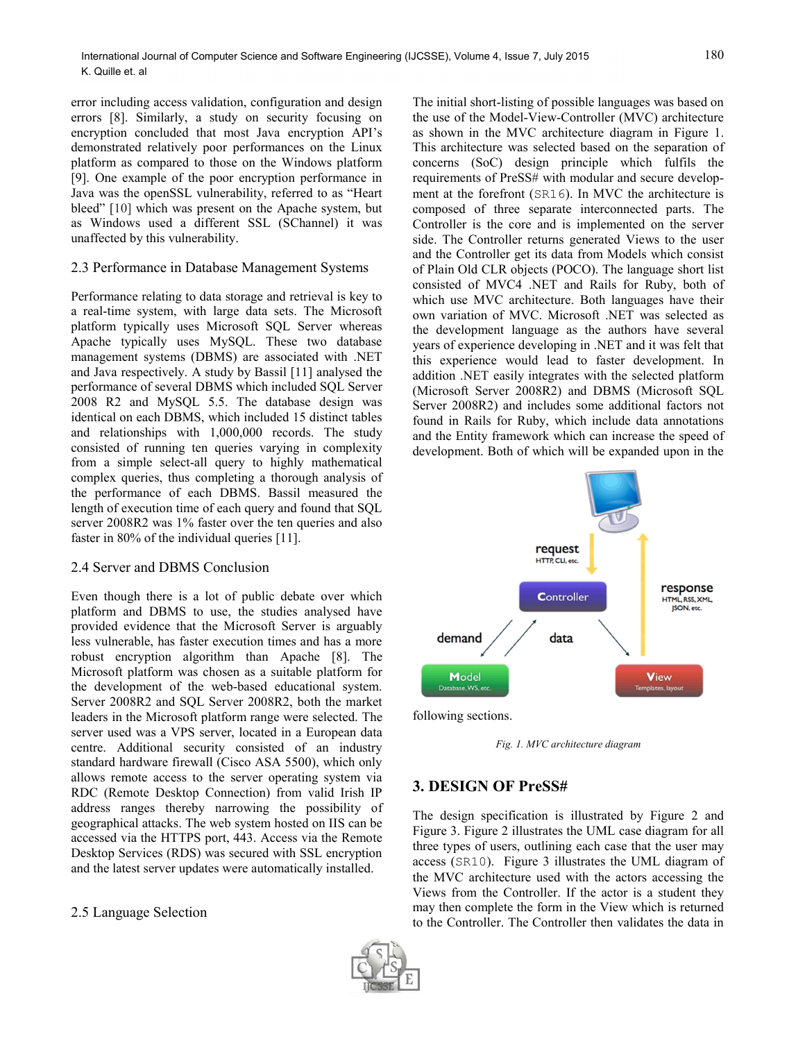error including access validation, configuration and design errors [8]. Similarly, a study on security focusing on encryption concluded that most Java encryption API's demonstrated relatively poor performances on the Linux platform as compared to those on the Windows platform [9]. One example of the poor encryption performance in Java was the openSSL vulnerability, referred to as "Heart bleed" [10] which was present on the Apache system, but as Windows used a different SSL (SChannel) it was unaffected by this vulnerability.

## 2.3 Performance in Database Management Systems

Performance relating to data storage and retrieval is key to a real-time system, with large data sets. The Microsoft platform typically uses Microsoft SQL Server whereas Apache typically uses MySQL. These two database management systems (DBMS) are associated with .NET and Java respectively. A study by Bassil [11] analysed the performance of several DBMS which included SQL Server 2008 R2 and MySQL 5.5. The database design was identical on each DBMS, which included 15 distinct tables and relationships with 1,000,000 records. The study consisted of running ten queries varying in complexity from a simple select-all query to highly mathematical complex queries, thus completing a thorough analysis of the performance of each DBMS. Bassil measured the length of execution time of each query and found that SQL server 2008R2 was 1% faster over the ten queries and also faster in 80% of the individual queries [11].

#### 2.4 Server and DBMS Conclusion

Even though there is a lot of public debate over which platform and DBMS to use, the studies analysed have provided evidence that the Microsoft Server is arguably less vulnerable, has faster execution times and has a more robust encryption algorithm than Apache [8]. The Microsoft platform was chosen as a suitable platform for the development of the web-based educational system. Server 2008R2 and SQL Server 2008R2, both the market leaders in the Microsoft platform range were selected. The server used was a VPS server, located in a European data centre. Additional security consisted of an industry standard hardware firewall (Cisco ASA 5500), which only allows remote access to the server operating system via RDC (Remote Desktop Connection) from valid Irish IP address ranges thereby narrowing the possibility of geographical attacks. The web system hosted on IIS can be accessed via the HTTPS port, 443. Access via the Remote Desktop Services (RDS) was secured with SSL encryption and the latest server updates were automatically installed.

2.5 Language Selection

The initial short-listing of possible languages was based on the use of the Model-View-Controller (MVC) architecture as shown in the MVC architecture diagram in Figure 1. This architecture was selected based on the separation of concerns (SoC) design principle which fulfils the requirements of PreSS# with modular and secure development at the forefront (SR16). In MVC the architecture is composed of three separate interconnected parts. The Controller is the core and is implemented on the server side. The Controller returns generated Views to the user and the Controller get its data from Models which consist of Plain Old CLR objects (POCO). The language short list consisted of MVC4 .NET and Rails for Ruby, both of which use MVC architecture. Both languages have their own variation of MVC. Microsoft .NET was selected as the development language as the authors have several years of experience developing in .NET and it was felt that this experience would lead to faster development. In addition .NET easily integrates with the selected platform (Microsoft Server 2008R2) and DBMS (Microsoft SQL Server 2008R2) and includes some additional factors not found in Rails for Ruby, which include data annotations and the Entity framework which can increase the speed of development. Both of which will be expanded upon in the



following sections.

*Fig. 1. MVC architecture diagram*

## **3. DESIGN OF PreSS#**

The design specification is illustrated by Figure 2 and Figure 3. Figure 2 illustrates the UML case diagram for all three types of users, outlining each case that the user may access (SR10). Figure 3 illustrates the UML diagram of the MVC architecture used with the actors accessing the Views from the Controller. If the actor is a student they may then complete the form in the View which is returned to the Controller. The Controller then validates the data in

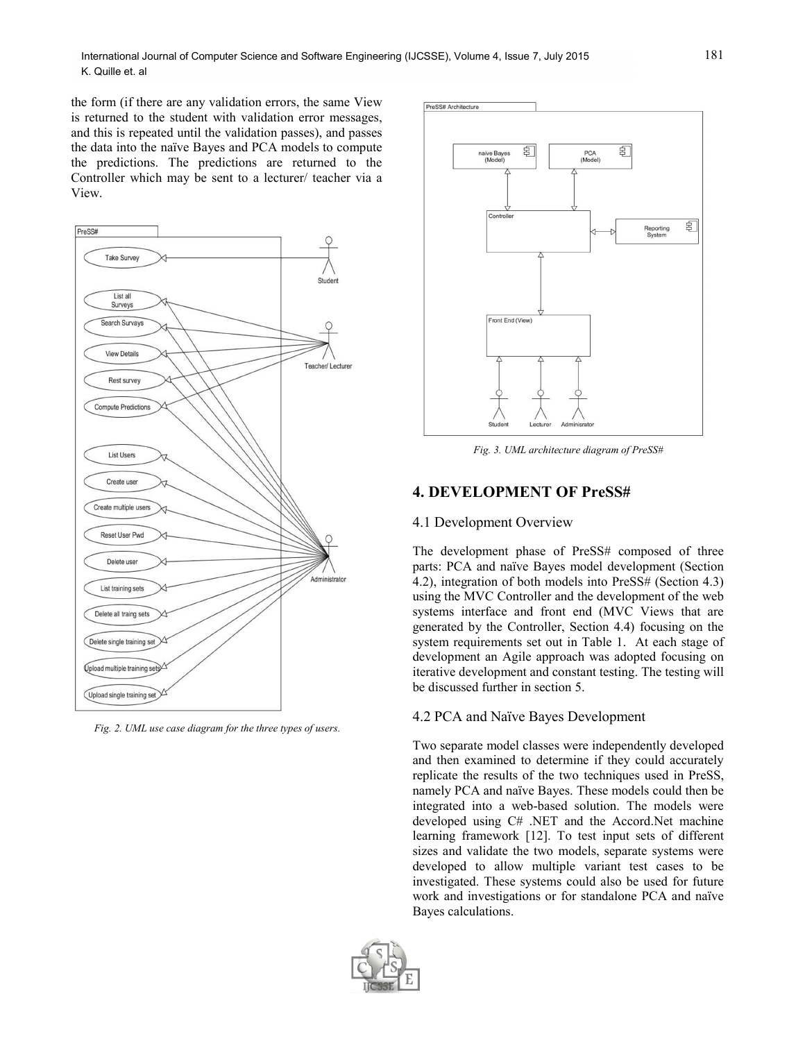the form (if there are any validation errors, the same View is returned to the student with validation error messages, and this is repeated until the validation passes), and passes the data into the naïve Bayes and PCA models to compute the predictions. The predictions are returned to the Controller which may be sent to a lecturer/ teacher via a View.



*Fig. 2. UML use case diagram for the three types of users.*



*Fig. 3. UML architecture diagram of PreSS#*

## **4. DEVELOPMENT OF PreSS#**

#### 4.1 Development Overview

The development phase of PreSS# composed of three parts: PCA and naïve Bayes model development (Section 4.2), integration of both models into PreSS# (Section 4.3) using the MVC Controller and the development of the web systems interface and front end (MVC Views that are generated by the Controller, Section 4.4) focusing on the system requirements set out in Table 1. At each stage of development an Agile approach was adopted focusing on iterative development and constant testing. The testing will be discussed further in section 5.

#### 4.2 PCA and Naïve Bayes Development

Two separate model classes were independently developed and then examined to determine if they could accurately replicate the results of the two techniques used in PreSS, namely PCA and naïve Bayes. These models could then be integrated into a web-based solution. The models were developed using C# .NET and the Accord.Net machine learning framework [12]. To test input sets of different sizes and validate the two models, separate systems were developed to allow multiple variant test cases to be investigated. These systems could also be used for future work and investigations or for standalone PCA and naïve Bayes calculations.

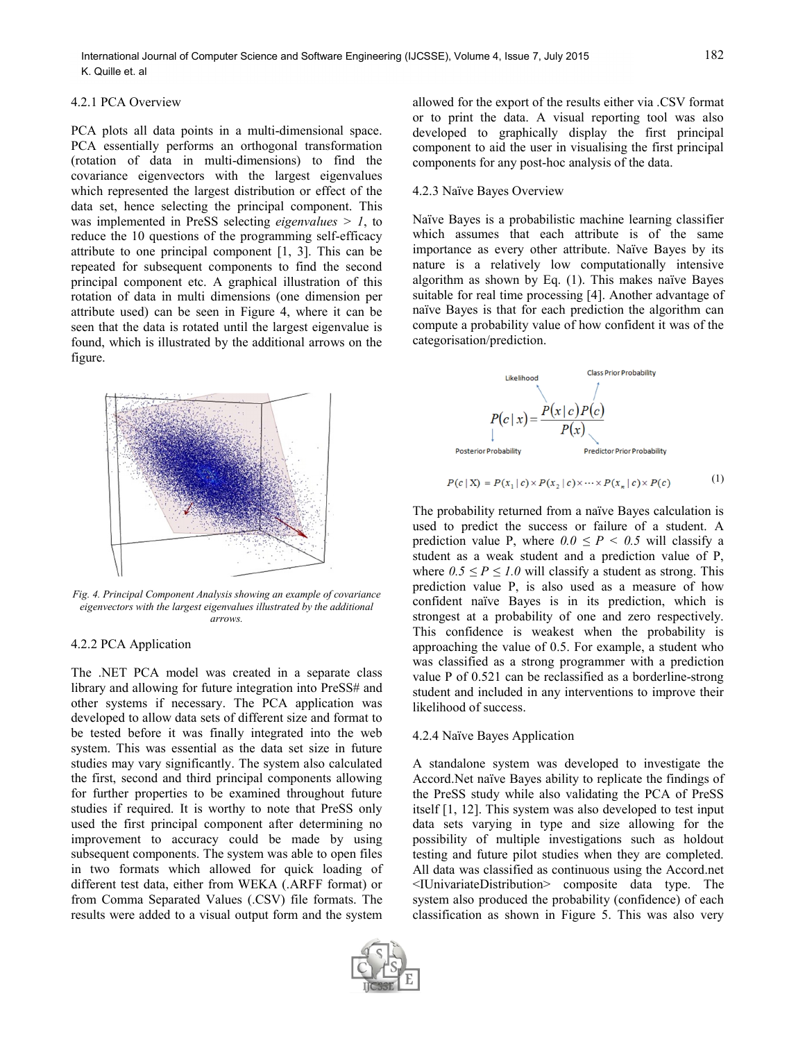#### 4.2.1 PCA Overview

PCA plots all data points in a multi-dimensional space. PCA essentially performs an orthogonal transformation (rotation of data in multi-dimensions) to find the covariance eigenvectors with the largest eigenvalues which represented the largest distribution or effect of the data set, hence selecting the principal component. This was implemented in PreSS selecting *eigenvalues > 1*, to reduce the 10 questions of the programming self-efficacy attribute to one principal component [1, 3]. This can be repeated for subsequent components to find the second principal component etc. A graphical illustration of this rotation of data in multi dimensions (one dimension per attribute used) can be seen in Figure 4, where it can be seen that the data is rotated until the largest eigenvalue is found, which is illustrated by the additional arrows on the figure.



*Fig. 4. Principal Component Analysis showing an example of covariance eigenvectors with the largest eigenvalues illustrated by the additional arrows.*

#### 4.2.2 PCA Application

The .NET PCA model was created in a separate class library and allowing for future integration into PreSS# and other systems if necessary. The PCA application was developed to allow data sets of different size and format to be tested before it was finally integrated into the web system. This was essential as the data set size in future studies may vary significantly. The system also calculated the first, second and third principal components allowing for further properties to be examined throughout future studies if required. It is worthy to note that PreSS only used the first principal component after determining no improvement to accuracy could be made by using subsequent components. The system was able to open files in two formats which allowed for quick loading of different test data, either from WEKA (.ARFF format) or from Comma Separated Values (.CSV) file formats. The results were added to a visual output form and the system



allowed for the export of the results either via .CSV format or to print the data. A visual reporting tool was also developed to graphically display the first principal component to aid the user in visualising the first principal components for any post-hoc analysis of the data.

#### 4.2.3 Naïve Bayes Overview

Naïve Bayes is a probabilistic machine learning classifier which assumes that each attribute is of the same importance as every other attribute. Naïve Bayes by its nature is a relatively low computationally intensive algorithm as shown by Eq. (1). This makes naïve Bayes suitable for real time processing [4]. Another advantage of naïve Bayes is that for each prediction the algorithm can compute a probability value of how confident it was of the categorisation/prediction.



$$
P(c \mid \mathbf{X}) = P(x_1 \mid c) \times P(x_2 \mid c) \times \dots \times P(x_n \mid c) \times P(c) \tag{1}
$$

The probability returned from a naïve Bayes calculation is used to predict the success or failure of a student. A prediction value P, where  $0.0 \le P \le 0.5$  will classify a student as a weak student and a prediction value of P, where  $0.5 \le P \le 1.0$  will classify a student as strong. This prediction value P, is also used as a measure of how confident naïve Bayes is in its prediction, which is strongest at a probability of one and zero respectively. This confidence is weakest when the probability is approaching the value of 0.5. For example, a student who was classified as a strong programmer with a prediction value P of 0.521 can be reclassified as a borderline-strong student and included in any interventions to improve their likelihood of success.

#### 4.2.4 Naïve Bayes Application

A standalone system was developed to investigate the Accord.Net naïve Bayes ability to replicate the findings of the PreSS study while also validating the PCA of PreSS itself [1, 12]. This system was also developed to test input data sets varying in type and size allowing for the possibility of multiple investigations such as holdout testing and future pilot studies when they are completed. All data was classified as continuous using the Accord.net <IUnivariateDistribution> composite data type. The system also produced the probability (confidence) of each classification as shown in Figure 5. This was also very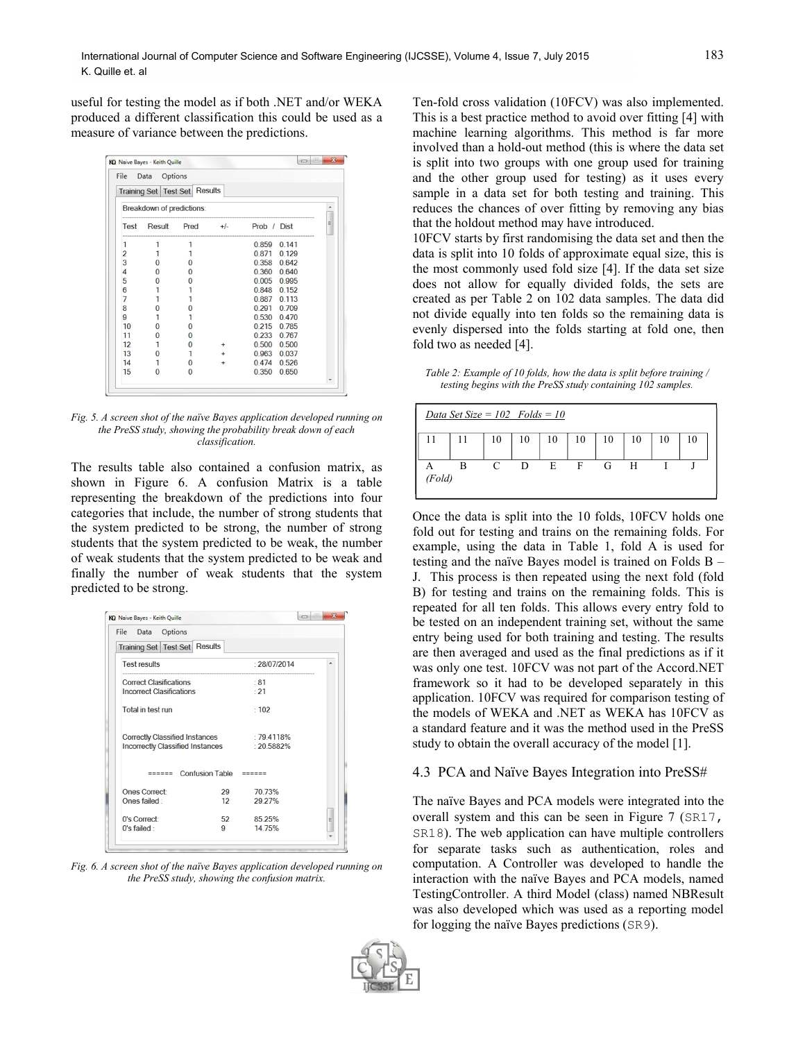useful for testing the model as if both .NET and/or WEKA produced a different classification this could be used as a measure of variance between the predictions.



*Fig. 5. A screen shot of the naïve Bayes application developed running on the PreSS study, showing the probability break down of each classification.*

The results table also contained a confusion matrix, as shown in Figure 6. A confusion Matrix is a table representing the breakdown of the predictions into four categories that include, the number of strong students that the system predicted to be strong, the number of strong students that the system predicted to be weak, the number of weak students that the system predicted to be weak and finally the number of weak students that the system predicted to be strong.

| File Data Options                     |                        |               |   |
|---------------------------------------|------------------------|---------------|---|
| Training Set   Test Set   Results     |                        |               |   |
| <b>Test results</b>                   |                        | : 28/07/2014  | ▴ |
| <b>Correct Clasifications</b>         |                        | .81           |   |
| <b>Incorrect Clasifications</b>       |                        | $\cdot$ 21    |   |
| Total in test run                     |                        | : 102         |   |
| <b>Correctly Classified Instances</b> |                        | $-794118%$    |   |
| Incorrectly Classified Instances      |                        | $: 20.5882\%$ |   |
| ======                                | Confusion Table $====$ |               |   |
| <b>Ones Correct:</b>                  | 29                     | 70 73%        |   |
| Ones failed:                          | 12 <sup>12</sup>       | 29.27%        |   |
| 0's Correct:                          | 52                     | 85.25%        | Ξ |
| $0's$ failed :                        | g                      | 14 75%        |   |

*Fig. 6. A screen shot of the naïve Bayes application developed running on the PreSS study, showing the confusion matrix.*

Ten-fold cross validation (10FCV) was also implemented. This is a best practice method to avoid over fitting [4] with machine learning algorithms. This method is far more involved than a hold-out method (this is where the data set is split into two groups with one group used for training and the other group used for testing) as it uses every sample in a data set for both testing and training. This reduces the chances of over fitting by removing any bias that the holdout method may have introduced.

10FCV starts by first randomising the data set and then the data is split into 10 folds of approximate equal size, this is the most commonly used fold size [4]. If the data set size does not allow for equally divided folds, the sets are created as per Table 2 on 102 data samples. The data did not divide equally into ten folds so the remaining data is evenly dispersed into the folds starting at fold one, then fold two as needed [4].

*Table 2: Example of 10 folds, how the data is split before training / testing begins with the PreSS study containing 102 samples.*

|        | Data Set Size = $102$ Folds = $10$ |    |    |    |    |    |    |    |  |
|--------|------------------------------------|----|----|----|----|----|----|----|--|
|        |                                    | 10 | 10 | 10 | 10 | 10 | 10 | 10 |  |
| (Fold) |                                    | C  | D  | E  | F  | G  | H  |    |  |

Once the data is split into the 10 folds, 10FCV holds one fold out for testing and trains on the remaining folds. For example, using the data in Table 1, fold A is used for testing and the naïve Bayes model is trained on Folds B – J. This process is then repeated using the next fold (fold B) for testing and trains on the remaining folds. This is repeated for all ten folds. This allows every entry fold to be tested on an independent training set, without the same entry being used for both training and testing. The results are then averaged and used as the final predictions as if it was only one test. 10FCV was not part of the Accord.NET framework so it had to be developed separately in this application. 10FCV was required for comparison testing of the models of WEKA and .NET as WEKA has 10FCV as a standard feature and it was the method used in the PreSS study to obtain the overall accuracy of the model [1].

## 4.3 PCA and Naïve Bayes Integration into PreSS#

The naïve Bayes and PCA models were integrated into the overall system and this can be seen in Figure 7 (SR17, SR18). The web application can have multiple controllers for separate tasks such as authentication, roles and computation. A Controller was developed to handle the interaction with the naïve Bayes and PCA models, named TestingController. A third Model (class) named NBResult was also developed which was used as a reporting model for logging the naïve Bayes predictions (SR9).

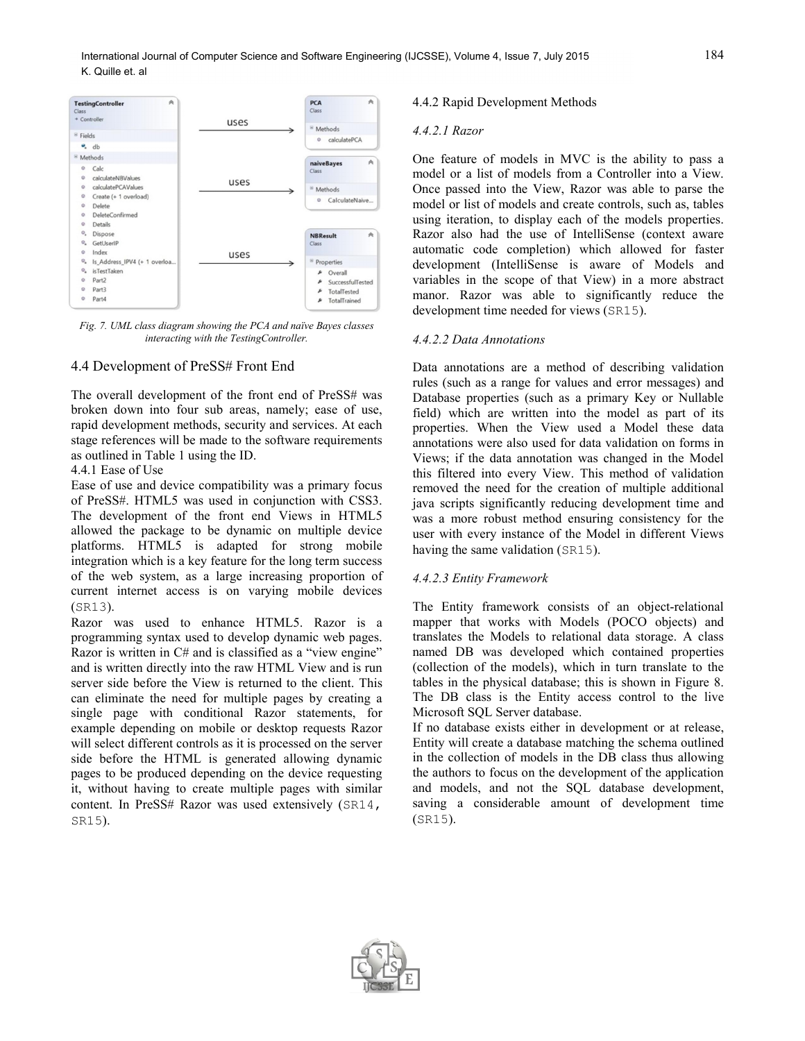

*Fig. 7. UML class diagram showing the PCA and naïve Bayes classes interacting with the TestingController.*

#### 4.4 Development of PreSS# Front End

The overall development of the front end of PreSS# was broken down into four sub areas, namely; ease of use, rapid development methods, security and services. At each stage references will be made to the software requirements as outlined in Table 1 using the ID.

## 4.4.1 Ease of Use

Ease of use and device compatibility was a primary focus of PreSS#. HTML5 was used in conjunction with CSS3. The development of the front end Views in HTML5 allowed the package to be dynamic on multiple device platforms. HTML5 is adapted for strong mobile integration which is a key feature for the long term success of the web system, as a large increasing proportion of current internet access is on varying mobile devices (SR13).

Razor was used to enhance HTML5. Razor is a programming syntax used to develop dynamic web pages. Razor is written in C# and is classified as a "view engine" and is written directly into the raw HTML View and is run server side before the View is returned to the client. This can eliminate the need for multiple pages by creating a single page with conditional Razor statements, for example depending on mobile or desktop requests Razor will select different controls as it is processed on the server side before the HTML is generated allowing dynamic pages to be produced depending on the device requesting it, without having to create multiple pages with similar content. In PreSS# Razor was used extensively (SR14, SR15).

## 4.4.2 Rapid Development Methods

#### *4.4.2.1 Razor*

One feature of models in MVC is the ability to pass a model or a list of models from a Controller into a View. Once passed into the View, Razor was able to parse the model or list of models and create controls, such as, tables using iteration, to display each of the models properties. Razor also had the use of IntelliSense (context aware automatic code completion) which allowed for faster development (IntelliSense is aware of Models and variables in the scope of that View) in a more abstract manor. Razor was able to significantly reduce the development time needed for views (SR15).

#### *4.4.2.2 Data Annotations*

Data annotations are a method of describing validation rules (such as a range for values and error messages) and Database properties (such as a primary Key or Nullable field) which are written into the model as part of its properties. When the View used a Model these data annotations were also used for data validation on forms in Views; if the data annotation was changed in the Model this filtered into every View. This method of validation removed the need for the creation of multiple additional java scripts significantly reducing development time and was a more robust method ensuring consistency for the user with every instance of the Model in different Views having the same validation (SR15).

#### *4.4.2.3 Entity Framework*

The Entity framework consists of an object-relational mapper that works with Models (POCO objects) and translates the Models to relational data storage. A class named DB was developed which contained properties (collection of the models), which in turn translate to the tables in the physical database; this is shown in Figure 8. The DB class is the Entity access control to the live Microsoft SQL Server database.

If no database exists either in development or at release, Entity will create a database matching the schema outlined in the collection of models in the DB class thus allowing the authors to focus on the development of the application and models, and not the SQL database development, saving a considerable amount of development time (SR15).

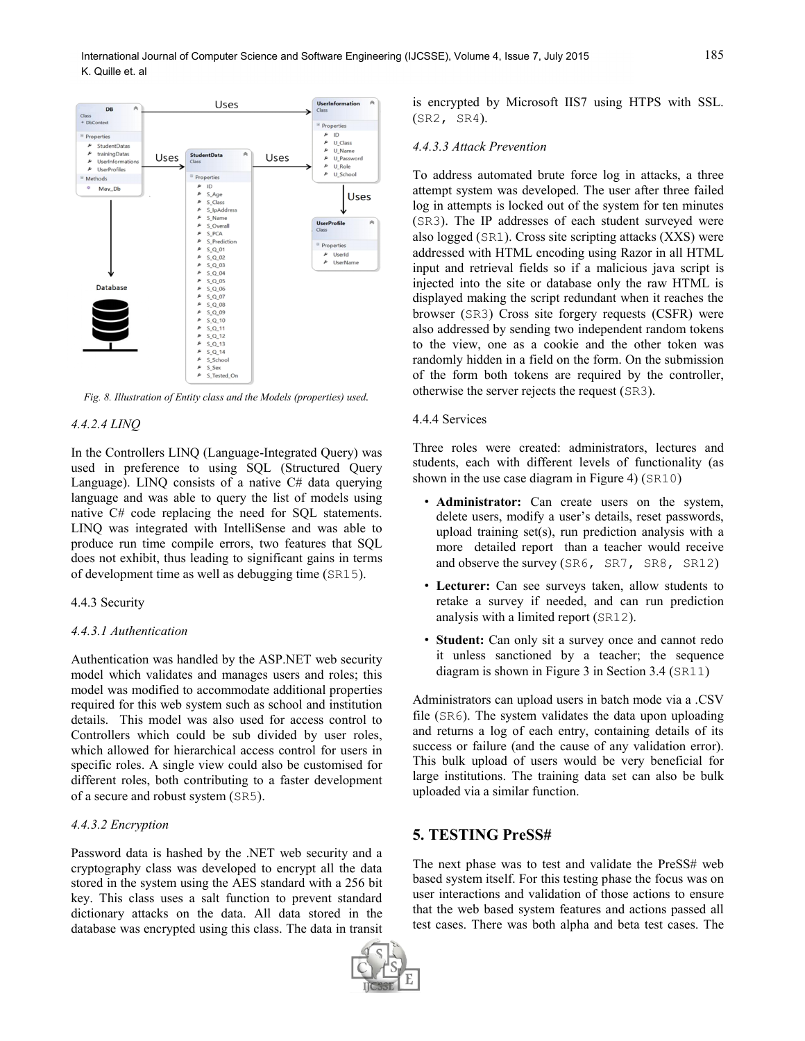

*Fig. 8. Illustration of Entity class and the Models (properties) used.*

#### *4.4.2.4 LINQ*

In the Controllers LINQ (Language-Integrated Query) was used in preference to using SQL (Structured Query Language). LINQ consists of a native  $C#$  data querying language and was able to query the list of models using native C# code replacing the need for SQL statements. LINQ was integrated with IntelliSense and was able to produce run time compile errors, two features that SQL does not exhibit, thus leading to significant gains in terms of development time as well as debugging time (SR15).

#### 4.4.3 Security

#### *4.4.3.1 Authentication*

Authentication was handled by the ASP.NET web security model which validates and manages users and roles; this model was modified to accommodate additional properties required for this web system such as school and institution details. This model was also used for access control to Controllers which could be sub divided by user roles, which allowed for hierarchical access control for users in specific roles. A single view could also be customised for different roles, both contributing to a faster development of a secure and robust system (SR5).

#### *4.4.3.2 Encryption*

Password data is hashed by the .NET web security and a cryptography class was developed to encrypt all the data stored in the system using the AES standard with a 256 bit key. This class uses a salt function to prevent standard dictionary attacks on the data. All data stored in the database was encrypted using this class. The data in transit is encrypted by Microsoft IIS7 using HTPS with SSL. (SR2, SR4).

#### *4.4.3.3 Attack Prevention*

To address automated brute force log in attacks, a three attempt system was developed. The user after three failed log in attempts is locked out of the system for ten minutes (SR3). The IP addresses of each student surveyed were also logged (SR1). Cross site scripting attacks (XXS) were addressed with HTML encoding using Razor in all HTML input and retrieval fields so if a malicious java script is injected into the site or database only the raw HTML is displayed making the script redundant when it reaches the browser (SR3) Cross site forgery requests (CSFR) were also addressed by sending two independent random tokens to the view, one as a cookie and the other token was randomly hidden in a field on the form. On the submission of the form both tokens are required by the controller, otherwise the server rejects the request (SR3).

#### 4.4.4 Services

Three roles were created: administrators, lectures and students, each with different levels of functionality (as shown in the use case diagram in Figure 4) (SR10)

- **Administrator:** Can create users on the system, delete users, modify a user's details, reset passwords, upload training set(s), run prediction analysis with a more detailed report than a teacher would receive and observe the survey (SR6, SR7, SR8, SR12)
- **Lecturer:** Can see surveys taken, allow students to retake a survey if needed, and can run prediction analysis with a limited report (SR12).
- **Student:** Can only sit a survey once and cannot redo it unless sanctioned by a teacher; the sequence diagram is shown in Figure 3 in Section 3.4 (SR11)

Administrators can upload users in batch mode via a .CSV file (SR6). The system validates the data upon uploading and returns a log of each entry, containing details of its success or failure (and the cause of any validation error). This bulk upload of users would be very beneficial for large institutions. The training data set can also be bulk uploaded via a similar function.

# **5. TESTING PreSS#**

The next phase was to test and validate the PreSS# web based system itself. For this testing phase the focus was on user interactions and validation of those actions to ensure that the web based system features and actions passed all test cases. There was both alpha and beta test cases. The

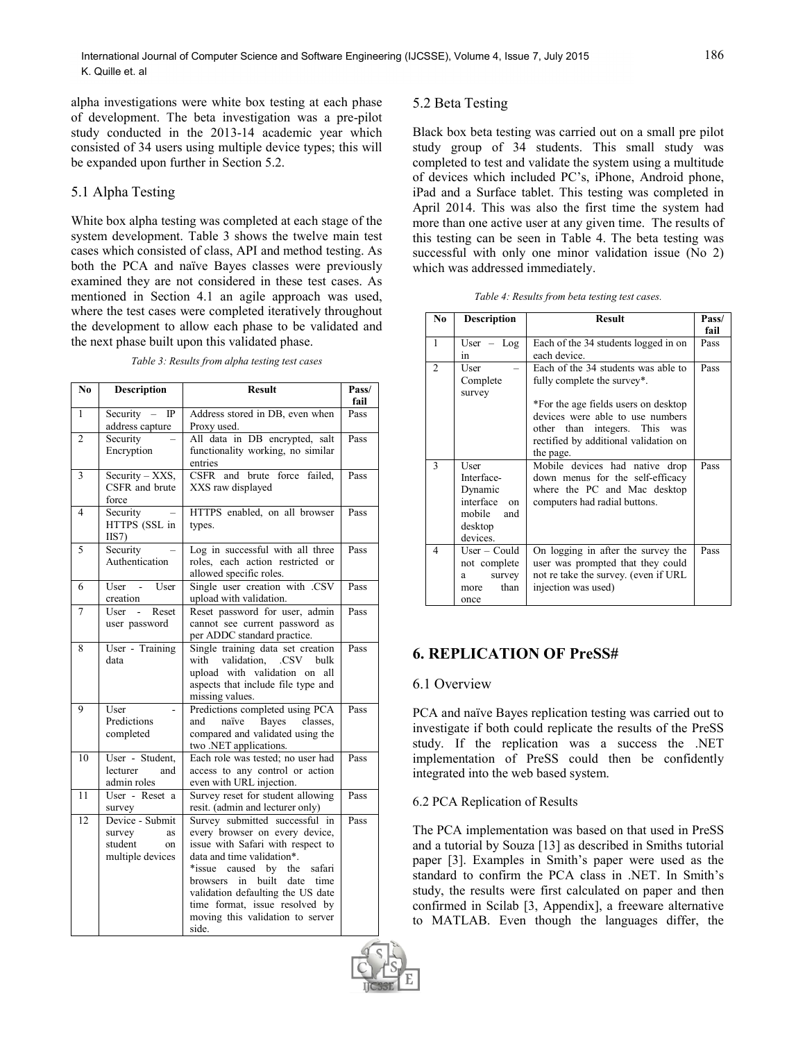alpha investigations were white box testing at each phase of development. The beta investigation was a pre-pilot study conducted in the 2013-14 academic year which consisted of 34 users using multiple device types; this will be expanded upon further in Section 5.2.

## 5.1 Alpha Testing

White box alpha testing was completed at each stage of the system development. Table 3 shows the twelve main test cases which consisted of class, API and method testing. As both the PCA and naïve Bayes classes were previously examined they are not considered in these test cases. As mentioned in Section 4.1 an agile approach was used, where the test cases were completed iteratively throughout the development to allow each phase to be validated and the next phase built upon this validated phase.

| N <sub>0</sub> | <b>Description</b>                                                   | <b>Result</b>                                                                                                                                                                                                                                                                                                                           | Pass/<br>fail |
|----------------|----------------------------------------------------------------------|-----------------------------------------------------------------------------------------------------------------------------------------------------------------------------------------------------------------------------------------------------------------------------------------------------------------------------------------|---------------|
| $\mathbf{1}$   | Security<br>$_{\rm IP}$<br>address capture                           | Address stored in DB, even when<br>Proxy used.                                                                                                                                                                                                                                                                                          | Pass          |
| $\mathfrak{2}$ | Security<br>Encryption                                               | All data in DB encrypted, salt<br>functionality working, no similar<br>entries                                                                                                                                                                                                                                                          | Pass          |
| 3              | $\overline{Security - XXS},$<br>CSFR and brute<br>force              | CSFR<br>and brute force failed,<br>XXS raw displayed                                                                                                                                                                                                                                                                                    | Pass          |
| $\overline{4}$ | Security<br>HTTPS (SSL in<br>$IIS7$                                  | HTTPS enabled, on all browser<br>types.                                                                                                                                                                                                                                                                                                 | Pass          |
| 5              | Security<br>Authentication                                           | Log in successful with all three<br>roles, each action restricted or<br>allowed specific roles.                                                                                                                                                                                                                                         | Pass          |
| 6              | User<br>User<br>$\sim$<br>creation                                   | Single user creation with .CSV<br>upload with validation.                                                                                                                                                                                                                                                                               | Pass          |
| 7              | User<br>Reset<br>user password                                       | Reset password for user, admin<br>cannot see current password as<br>per ADDC standard practice.                                                                                                                                                                                                                                         | Pass          |
| 8              | User - Training<br>data                                              | Single training data set creation<br>validation. .CSV<br>with<br>bulk<br>upload with validation on<br>all<br>aspects that include file type and<br>missing values.                                                                                                                                                                      | Pass          |
| 9              | User<br>Predictions<br>completed                                     | Predictions completed using PCA<br>Bayes classes,<br>naïve<br>and<br>compared and validated using the<br>two .NET applications.                                                                                                                                                                                                         | Pass          |
| 10             | User - Student,<br>lecturer<br>and<br>admin roles                    | Each role was tested; no user had<br>access to any control or action<br>even with URL injection.                                                                                                                                                                                                                                        | Pass          |
| 11             | User - Reset a<br>survey                                             | Survey reset for student allowing<br>resit. (admin and lecturer only)                                                                                                                                                                                                                                                                   | Pass          |
| 12             | Device - Submit<br>survey<br>as<br>student<br>on<br>multiple devices | Survey submitted successful in<br>every browser on every device,<br>issue with Safari with respect to<br>data and time validation*.<br>*issue<br>caused by the<br>safari<br>built<br>date<br>browsers<br>in<br>time<br>validation defaulting the US date<br>time format, issue resolved by<br>moving this validation to server<br>side. | Pass          |

*Table 3: Results from alpha testing test cases*

## 5.2 Beta Testing

Black box beta testing was carried out on a small pre pilot study group of 34 students. This small study was completed to test and validate the system using a multitude of devices which included PC's, iPhone, Android phone, iPad and a Surface tablet. This testing was completed in April 2014. This was also the first time the system had more than one active user at any given time. The results of this testing can be seen in Table 4. The beta testing was successful with only one minor validation issue (No 2) which was addressed immediately.

| Table 4: Results from beta testing test cases. |  |  |  |
|------------------------------------------------|--|--|--|
|------------------------------------------------|--|--|--|

| N <sub>0</sub> | <b>Description</b>       | <b>Result</b>                         | Pass/ |
|----------------|--------------------------|---------------------------------------|-------|
|                |                          |                                       | fail  |
| 1              | User $-$<br>Log          | Each of the 34 students logged in on  | Pass  |
|                | in                       | each device.                          |       |
| $\overline{c}$ | User                     | Each of the 34 students was able to   | Pass  |
|                | Complete                 | fully complete the survey*.           |       |
|                | survey                   |                                       |       |
|                |                          | *For the age fields users on desktop  |       |
|                |                          | devices were able to use numbers      |       |
|                |                          | other than integers. This<br>was      |       |
|                |                          | rectified by additional validation on |       |
|                |                          | the page.                             |       |
| 3              | User                     | Mobile devices had native drop        | Pass  |
|                | Interface-               | down menus for the self-efficacy      |       |
|                | Dynamic                  | where the PC and Mac desktop          |       |
|                | interface<br>$_{\rm on}$ | computers had radial buttons.         |       |
|                | mobile<br>and            |                                       |       |
|                | desktop                  |                                       |       |
|                | devices.                 |                                       |       |
| $\overline{4}$ | $User - Could$           | On logging in after the survey the    | Pass  |
|                | not complete             | user was prompted that they could     |       |
|                | survey<br>a              | not re take the survey. (even if URL  |       |
|                | than<br>more             | injection was used)                   |       |
|                | once                     |                                       |       |

## **6. REPLICATION OF PreSS#**

#### 6.1 Overview

PCA and naïve Bayes replication testing was carried out to investigate if both could replicate the results of the PreSS study. If the replication was a success the .NET implementation of PreSS could then be confidently integrated into the web based system.

## 6.2 PCA Replication of Results

The PCA implementation was based on that used in PreSS and a tutorial by Souza [13] as described in Smiths tutorial paper [3]. Examples in Smith's paper were used as the standard to confirm the PCA class in .NET. In Smith's study, the results were first calculated on paper and then confirmed in Scilab [3, Appendix], a freeware alternative to MATLAB. Even though the languages differ, the

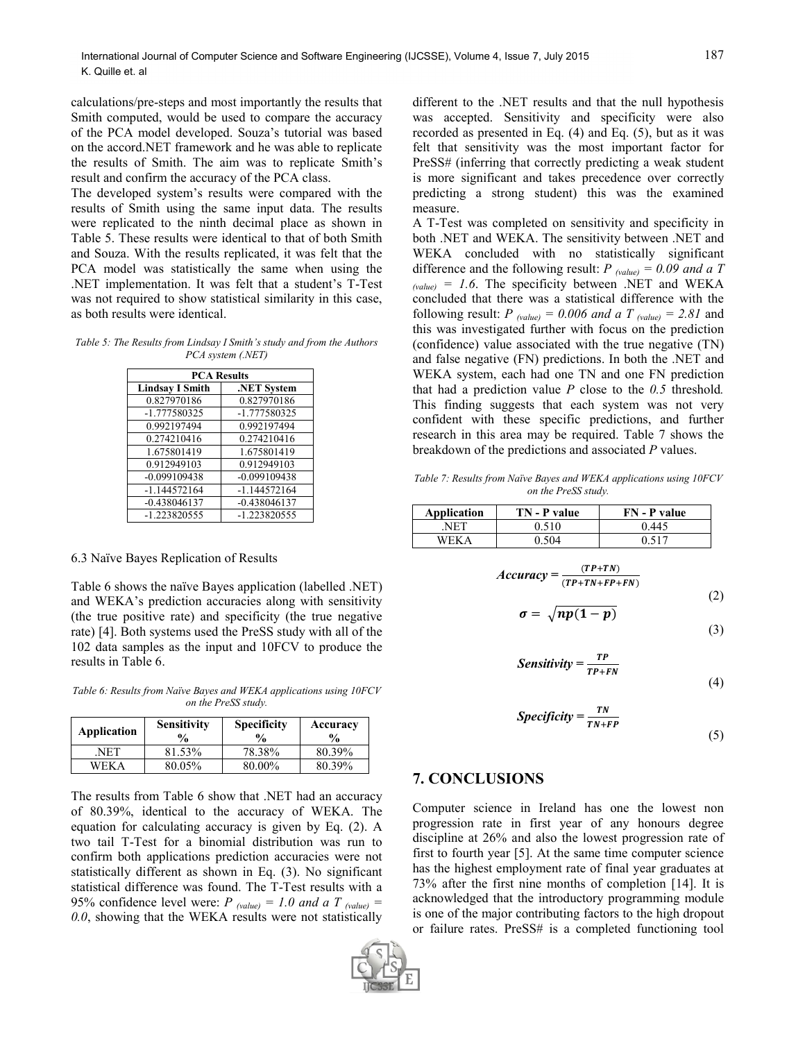calculations/pre-steps and most importantly the results that Smith computed, would be used to compare the accuracy of the PCA model developed. Souza's tutorial was based on the accord.NET framework and he was able to replicate the results of Smith. The aim was to replicate Smith's result and confirm the accuracy of the PCA class.

The developed system's results were compared with the results of Smith using the same input data. The results were replicated to the ninth decimal place as shown in Table 5. These results were identical to that of both Smith and Souza. With the results replicated, it was felt that the PCA model was statistically the same when using the .NET implementation. It was felt that a student's T-Test was not required to show statistical similarity in this case, as both results were identical.

*Table 5: The Results from Lindsay I Smith's study and from the Authors PCA system (.NET)*

| <b>PCA Results</b>     |                |  |  |
|------------------------|----------------|--|--|
| <b>Lindsay I Smith</b> | .NET System    |  |  |
| 0.827970186            | 0.827970186    |  |  |
| -1.777580325           | -1.777580325   |  |  |
| 0.992197494            | 0.992197494    |  |  |
| 0.274210416            | 0.274210416    |  |  |
| 1.675801419            | 1.675801419    |  |  |
| 0.912949103            | 0.912949103    |  |  |
| $-0.099109438$         | $-0.099109438$ |  |  |
| $-1.144572164$         | $-1.144572164$ |  |  |
| $-0.438046137$         | $-0.438046137$ |  |  |
| -1.223820555           | -1.223820555   |  |  |

#### 6.3 Naïve Bayes Replication of Results

Table 6 shows the naïve Bayes application (labelled .NET) and WEKA's prediction accuracies along with sensitivity (the true positive rate) and specificity (the true negative rate) [4]. Both systems used the PreSS study with all of the 102 data samples as the input and 10FCV to produce the results in Table 6.

*Table 6: Results from Naïve Bayes and WEKA applications using 10FCV on the PreSS study.*

| Application | <b>Sensitivity</b><br>$\frac{6}{9}$ | <b>Specificity</b><br>$\frac{0}{0}$ | Accuracy<br>$\frac{0}{0}$ |
|-------------|-------------------------------------|-------------------------------------|---------------------------|
| NET         | 81.53%                              | 78.38%                              | 80.39%                    |
| <b>WEKA</b> | 80.05%                              | 80.00%                              | 80.39%                    |

The results from Table 6 show that .NET had an accuracy of 80.39%, identical to the accuracy of WEKA. The equation for calculating accuracy is given by Eq. (2). A two tail T-Test for a binomial distribution was run to confirm both applications prediction accuracies were not statistically different as shown in Eq. (3). No significant statistical difference was found. The T-Test results with a 95% confidence level were:  $P_{(value)} = 1.0$  and a T  $_{(value)} =$ *0.0*, showing that the WEKA results were not statistically



different to the .NET results and that the null hypothesis was accepted. Sensitivity and specificity were also recorded as presented in Eq. (4) and Eq. (5), but as it was felt that sensitivity was the most important factor for PreSS# (inferring that correctly predicting a weak student is more significant and takes precedence over correctly predicting a strong student) this was the examined measure.

A T-Test was completed on sensitivity and specificity in both .NET and WEKA. The sensitivity between .NET and WEKA concluded with no statistically significant difference and the following result:  $P_{(value)} = 0.09$  and a T  $_{\text{(value)}}$  = 1.6. The specificity between .NET and WEKA concluded that there was a statistical difference with the following result:  $P_{\text{(value)}} = 0.006$  *and a T*  $_{\text{(value)}} = 2.81$  and this was investigated further with focus on the prediction (confidence) value associated with the true negative (TN) and false negative (FN) predictions. In both the .NET and WEKA system, each had one TN and one FN prediction that had a prediction value *P* close to the *0.5* threshold*.* This finding suggests that each system was not very confident with these specific predictions, and further research in this area may be required. Table 7 shows the breakdown of the predictions and associated *P* values.

*Table 7: Results from Naïve Bayes and WEKA applications using 10FCV on the PreSS study.*

| Application | TN - P value | <b>FN</b> - <b>P</b> value |
|-------------|--------------|----------------------------|
| NET         | 0.510        | 0 445                      |
| WEK 4       | ን 504        | ገ 517                      |

$$
Accuracy = \frac{(TP+TN)}{(TP+TN+FP+FN)}
$$
\n(2)

$$
\sigma = \sqrt{np(1-p)}\tag{3}
$$

Sensitivity = 
$$
\frac{TP}{TP+FN}
$$
 (4)

$$
Specificity = \frac{TN}{TN + FP}
$$
\n(5)

#### **7. CONCLUSIONS**

Computer science in Ireland has one the lowest non progression rate in first year of any honours degree discipline at 26% and also the lowest progression rate of first to fourth year [5]. At the same time computer science has the highest employment rate of final year graduates at 73% after the first nine months of completion [14]. It is acknowledged that the introductory programming module is one of the major contributing factors to the high dropout or failure rates. PreSS# is a completed functioning tool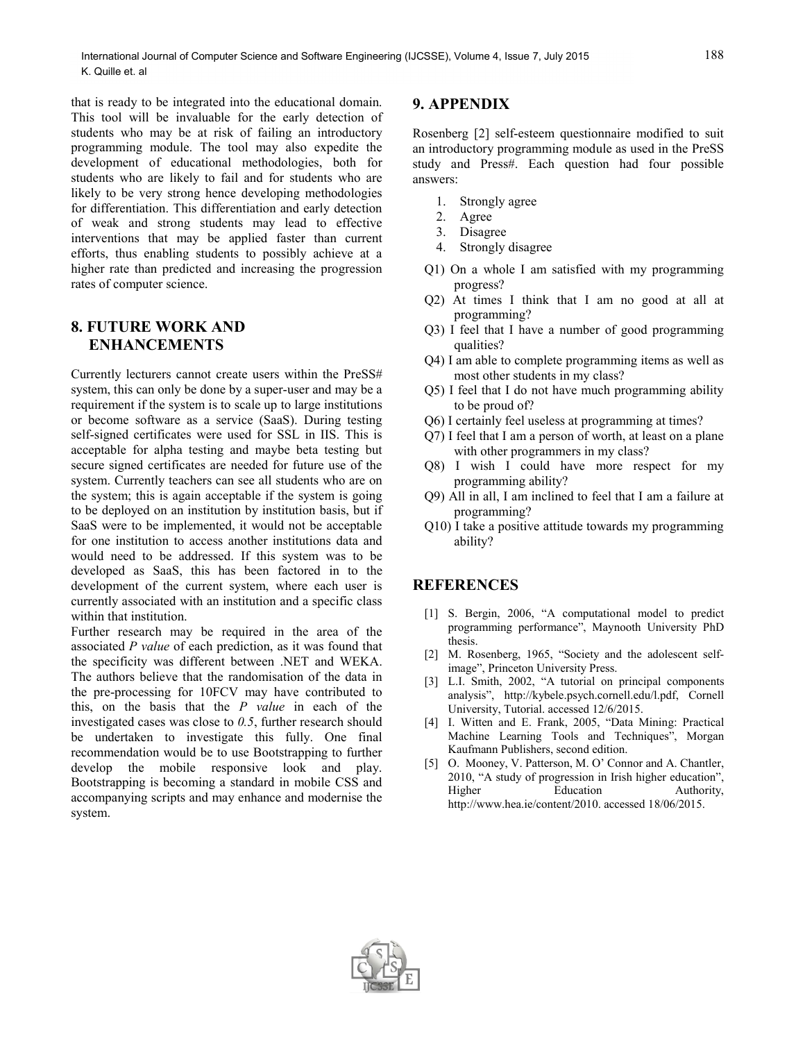that is ready to be integrated into the educational domain. This tool will be invaluable for the early detection of students who may be at risk of failing an introductory programming module. The tool may also expedite the development of educational methodologies, both for students who are likely to fail and for students who are likely to be very strong hence developing methodologies for differentiation. This differentiation and early detection of weak and strong students may lead to effective interventions that may be applied faster than current efforts, thus enabling students to possibly achieve at a higher rate than predicted and increasing the progression rates of computer science.

# **8. FUTURE WORK AND ENHANCEMENTS**

Currently lecturers cannot create users within the PreSS# system, this can only be done by a super-user and may be a requirement if the system is to scale up to large institutions or become software as a service (SaaS). During testing self-signed certificates were used for SSL in IIS. This is acceptable for alpha testing and maybe beta testing but secure signed certificates are needed for future use of the system. Currently teachers can see all students who are on the system; this is again acceptable if the system is going to be deployed on an institution by institution basis, but if SaaS were to be implemented, it would not be acceptable for one institution to access another institutions data and would need to be addressed. If this system was to be developed as SaaS, this has been factored in to the development of the current system, where each user is currently associated with an institution and a specific class within that institution.

Further research may be required in the area of the associated *P value* of each prediction, as it was found that the specificity was different between .NET and WEKA. The authors believe that the randomisation of the data in the pre-processing for 10FCV may have contributed to this, on the basis that the *P value* in each of the investigated cases was close to *0.5*, further research should be undertaken to investigate this fully. One final recommendation would be to use Bootstrapping to further develop the mobile responsive look and play. Bootstrapping is becoming a standard in mobile CSS and accompanying scripts and may enhance and modernise the system.

# **9. APPENDIX**

Rosenberg [2] self-esteem questionnaire modified to suit an introductory programming module as used in the PreSS study and Press#. Each question had four possible answers:

- 1. Strongly agree
- 2. Agree
- 3. Disagree
- 4. Strongly disagree
- Q1) On a whole I am satisfied with my programming progress?
- Q2) At times I think that I am no good at all at programming?
- Q3) I feel that I have a number of good programming qualities?
- Q4) I am able to complete programming items as well as most other students in my class?
- Q5) I feel that I do not have much programming ability to be proud of?
- Q6) I certainly feel useless at programming at times?
- Q7) I feel that I am a person of worth, at least on a plane with other programmers in my class?
- Q8) I wish I could have more respect for my programming ability?
- Q9) All in all, I am inclined to feel that I am a failure at programming?
- Q10) I take a positive attitude towards my programming ability?

# **REFERENCES**

- [1] S. Bergin, 2006, "A computational model to predict programming performance", Maynooth University PhD thesis.
- [2] M. Rosenberg, 1965, "Society and the adolescent selfimage", Princeton University Press.
- [3] L.I. Smith, 2002, "A tutorial on principal components analysis", http://kybele.psych.cornell.edu/l.pdf, Cornell University, Tutorial. accessed 12/6/2015.
- [4] I. Witten and E. Frank, 2005, "Data Mining: Practical Machine Learning Tools and Techniques", Morgan Kaufmann Publishers, second edition.
- [5] O. Mooney, V. Patterson, M. O' Connor and A. Chantler, 2010, "A study of progression in Irish higher education", Higher Education Authority, http://www.hea.ie/content/2010. accessed 18/06/2015.